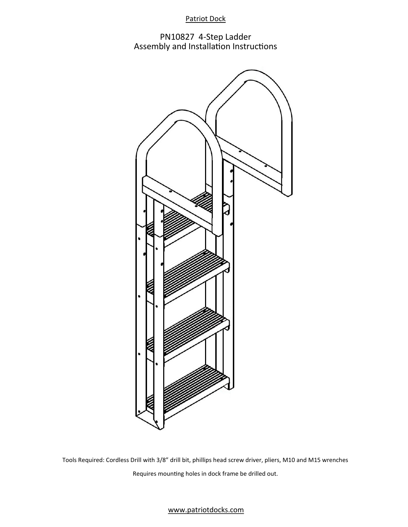# Patriot Dock

PN10827 4-Step Ladder Assembly and Installation Instructions



Tools Required: Cordless Drill with 3/8" drill bit, phillips head screw driver, pliers, M10 and M15 wrenches Requires mounting holes in dock frame be drilled out.

## www.patriotdocks.com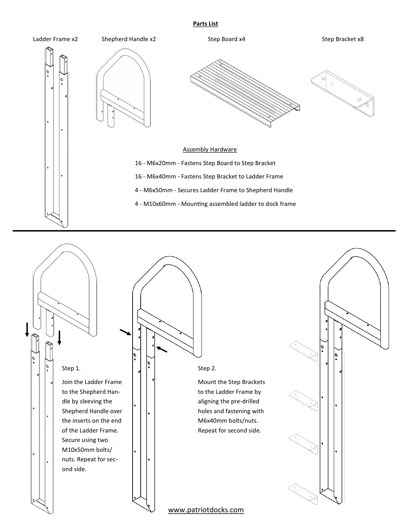#### **Parts List**



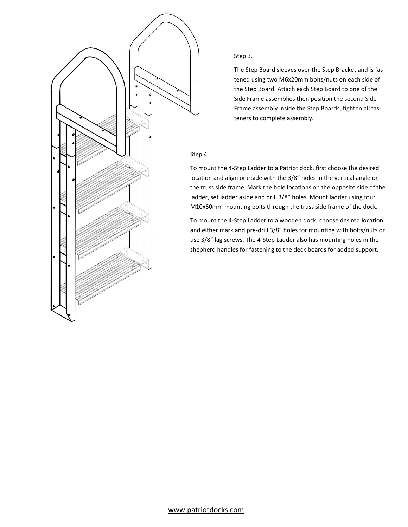

### Step 3.

The Step Board sleeves over the Step Bracket and is fastened using two M6x20mm bolts/nuts on each side of the Step Board. Attach each Step Board to one of the Side Frame assemblies then position the second Side Frame assembly inside the Step Boards, tighten all fasteners to complete assembly.

#### Step 4.

To mount the 4-Step Ladder to a Patriot dock, first choose the desired location and align one side with the 3/8" holes in the vertical angle on the truss side frame. Mark the hole locations on the opposite side of the ladder, set ladder aside and drill 3/8" holes. Mount ladder using four M10x60mm mounting bolts through the truss side frame of the dock.

To mount the 4-Step Ladder to a wooden dock, choose desired location and either mark and pre-drill 3/8" holes for mounting with bolts/nuts or use 3/8" lag screws. The 4-Step Ladder also has mounting holes in the shepherd handles for fastening to the deck boards for added support.